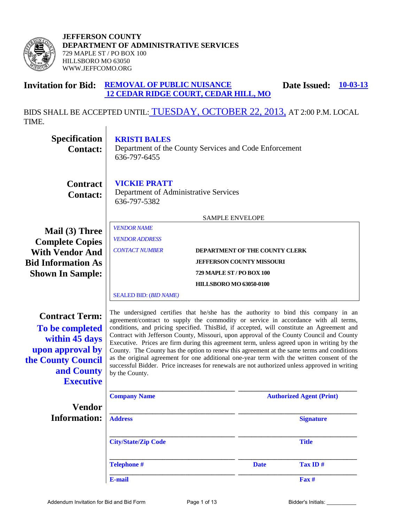

#### **Invitation for Bid: REMOVAL OF PUBLIC NUISANCE 12 CEDAR RIDGE COURT, CEDAR HILL, MO Date Issued: 10-03-13**

BIDS SHALL BE ACCEPTED UNTIL: TUESDAY, OCTOBER 22, 2013, AT 2:00 P.M. LOCAL TIME. $\mathbf{I}$ 

| <b>Specification</b><br><b>Contact:</b>                                                                                                | <b>KRISTI BALES</b><br>Department of the County Services and Code Enforcement<br>636-797-6455                                                                                                                                                                                                                                                                                                                                                                                                                                                                                                                                                                                                                                                                                     |                                                                                                                                                                    |             |                                 |
|----------------------------------------------------------------------------------------------------------------------------------------|-----------------------------------------------------------------------------------------------------------------------------------------------------------------------------------------------------------------------------------------------------------------------------------------------------------------------------------------------------------------------------------------------------------------------------------------------------------------------------------------------------------------------------------------------------------------------------------------------------------------------------------------------------------------------------------------------------------------------------------------------------------------------------------|--------------------------------------------------------------------------------------------------------------------------------------------------------------------|-------------|---------------------------------|
| <b>Contract</b><br><b>Contact:</b>                                                                                                     | <b>VICKIE PRATT</b><br>Department of Administrative Services<br>636-797-5382                                                                                                                                                                                                                                                                                                                                                                                                                                                                                                                                                                                                                                                                                                      |                                                                                                                                                                    |             |                                 |
| Mail (3) Three<br><b>Complete Copies</b><br><b>With Vendor And</b><br><b>Bid Information As</b><br><b>Shown In Sample:</b>             | <b>VENDOR NAME</b><br><b>VENDOR ADDRESS</b><br><b>CONTACT NUMBER</b><br><b>SEALED BID: (BID NAME)</b>                                                                                                                                                                                                                                                                                                                                                                                                                                                                                                                                                                                                                                                                             | <b>SAMPLE ENVELOPE</b><br>DEPARTMENT OF THE COUNTY CLERK<br><b>JEFFERSON COUNTY MISSOURI</b><br><b>729 MAPLE ST / PO BOX 100</b><br><b>HILLSBORO MO 63050-0100</b> |             |                                 |
| <b>Contract Term:</b><br>To be completed<br>within 45 days<br>upon approval by<br>the County Council<br>and County<br><b>Executive</b> | The undersigned certifies that he/she has the authority to bind this company in an<br>agreement/contract to supply the commodity or service in accordance with all terms,<br>conditions, and pricing specified. This Bid, if accepted, will constitute an Agreement and<br>Contract with Jefferson County, Missouri, upon approval of the County Council and County<br>Executive. Prices are firm during this agreement term, unless agreed upon in writing by the<br>County. The County has the option to renew this agreement at the same terms and conditions<br>as the original agreement for one additional one-year term with the written consent of the<br>successful Bidder. Price increases for renewals are not authorized unless approved in writing<br>by the County. |                                                                                                                                                                    |             |                                 |
| <b>Vendor</b>                                                                                                                          | <b>Company Name</b>                                                                                                                                                                                                                                                                                                                                                                                                                                                                                                                                                                                                                                                                                                                                                               |                                                                                                                                                                    |             | <b>Authorized Agent (Print)</b> |
| <b>Information:</b>                                                                                                                    | <b>Address</b>                                                                                                                                                                                                                                                                                                                                                                                                                                                                                                                                                                                                                                                                                                                                                                    |                                                                                                                                                                    |             | <b>Signature</b>                |
|                                                                                                                                        | <b>City/State/Zip Code</b>                                                                                                                                                                                                                                                                                                                                                                                                                                                                                                                                                                                                                                                                                                                                                        |                                                                                                                                                                    |             | <b>Title</b>                    |
|                                                                                                                                        | <b>Telephone#</b>                                                                                                                                                                                                                                                                                                                                                                                                                                                                                                                                                                                                                                                                                                                                                                 |                                                                                                                                                                    | <b>Date</b> | Tax ID#                         |
|                                                                                                                                        | E-mail                                                                                                                                                                                                                                                                                                                                                                                                                                                                                                                                                                                                                                                                                                                                                                            |                                                                                                                                                                    |             | Fax #                           |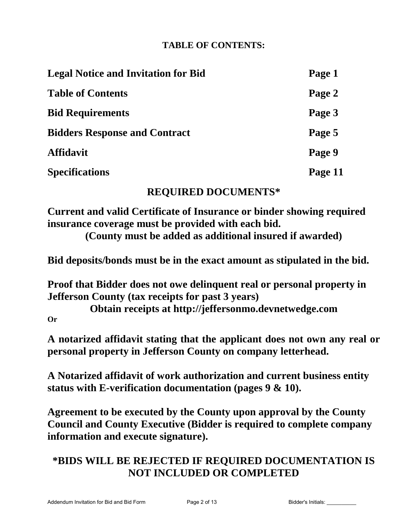# **TABLE OF CONTENTS:**

| <b>Legal Notice and Invitation for Bid</b> | Page 1  |
|--------------------------------------------|---------|
| <b>Table of Contents</b>                   | Page 2  |
| <b>Bid Requirements</b>                    | Page 3  |
| <b>Bidders Response and Contract</b>       | Page 5  |
| <b>Affidavit</b>                           | Page 9  |
| <b>Specifications</b>                      | Page 11 |

# **REQUIRED DOCUMENTS\***

**Current and valid Certificate of Insurance or binder showing required insurance coverage must be provided with each bid.**

**(County must be added as additional insured if awarded)**

**Bid deposits/bonds must be in the exact amount as stipulated in the bid.** 

**Proof that Bidder does not owe delinquent real or personal property in Jefferson County (tax receipts for past 3 years)** 

**Obtain receipts at http://jeffersonmo.devnetwedge.com Or** 

**A notarized affidavit stating that the applicant does not own any real or personal property in Jefferson County on company letterhead.** 

**A Notarized affidavit of work authorization and current business entity status with E-verification documentation (pages 9 & 10).** 

**Agreement to be executed by the County upon approval by the County Council and County Executive (Bidder is required to complete company information and execute signature).** 

# **\*BIDS WILL BE REJECTED IF REQUIRED DOCUMENTATION IS NOT INCLUDED OR COMPLETED**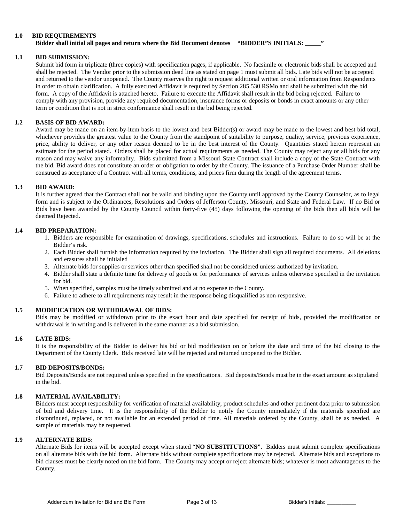#### **1.0 BID REQUIREMENTS**

#### **Bidder shall initial all pages and return where the Bid Document denotes "BIDDER"S INITIALS: \_\_\_\_\_"**

#### **1.1 BID SUBMISSION:**

Submit bid form in triplicate (three copies) with specification pages, if applicable. No facsimile or electronic bids shall be accepted and shall be rejected. The Vendor prior to the submission dead line as stated on page 1 must submit all bids. Late bids will not be accepted and returned to the vendor unopened. The County reserves the right to request additional written or oral information from Respondents in order to obtain clarification. A fully executed Affidavit is required by Section 285.530 RSMo and shall be submitted with the bid form. A copy of the Affidavit is attached hereto. Failure to execute the Affidavit shall result in the bid being rejected. Failure to comply with any provision, provide any required documentation, insurance forms or deposits or bonds in exact amounts or any other term or condition that is not in strict conformance shall result in the bid being rejected.

#### **1.2 BASIS OF BID AWARD:**

Award may be made on an item-by-item basis to the lowest and best Bidder(s) or award may be made to the lowest and best bid total, whichever provides the greatest value to the County from the standpoint of suitability to purpose, quality, service, previous experience, price, ability to deliver, or any other reason deemed to be in the best interest of the County. Quantities stated herein represent an estimate for the period stated. Orders shall be placed for actual requirements as needed. The County may reject any or all bids for any reason and may waive any informality. Bids submitted from a Missouri State Contract shall include a copy of the State Contract with the bid. Bid award does not constitute an order or obligation to order by the County. The issuance of a Purchase Order Number shall be construed as acceptance of a Contract with all terms, conditions, and prices firm during the length of the agreement terms.

#### **1.3 BID AWARD**:

It is further agreed that the Contract shall not be valid and binding upon the County until approved by the County Counselor, as to legal form and is subject to the Ordinances, Resolutions and Orders of Jefferson County, Missouri, and State and Federal Law. If no Bid or Bids have been awarded by the County Council within forty-five (45) days following the opening of the bids then all bids will be deemed Rejected.

#### **1.4 BID PREPARATION:**

- 1. Bidders are responsible for examination of drawings, specifications, schedules and instructions. Failure to do so will be at the Bidder's risk.
- 2. Each Bidder shall furnish the information required by the invitation. The Bidder shall sign all required documents. All deletions and erasures shall be initialed
- 3. Alternate bids for supplies or services other than specified shall not be considered unless authorized by invitation.
- 4. Bidder shall state a definite time for delivery of goods or for performance of services unless otherwise specified in the invitation for bid.
- 5. When specified, samples must be timely submitted and at no expense to the County.
- 6. Failure to adhere to all requirements may result in the response being disqualified as non-responsive.

#### **1.5 MODIFICATION OR WITHDRAWAL OF BIDS:**

Bids may be modified or withdrawn prior to the exact hour and date specified for receipt of bids, provided the modification or withdrawal is in writing and is delivered in the same manner as a bid submission.

#### **1.6 LATE BIDS:**

It is the responsibility of the Bidder to deliver his bid or bid modification on or before the date and time of the bid closing to the Department of the County Clerk. Bids received late will be rejected and returned unopened to the Bidder.

#### **1.7 BID DEPOSITS/BONDS:**

Bid Deposits/Bonds are not required unless specified in the specifications. Bid deposits/Bonds must be in the exact amount as stipulated in the bid.

#### **1.8 MATERIAL AVAILABILITY:**

Bidders must accept responsibility for verification of material availability, product schedules and other pertinent data prior to submission of bid and delivery time. It is the responsibility of the Bidder to notify the County immediately if the materials specified are discontinued, replaced, or not available for an extended period of time. All materials ordered by the County, shall be as needed. A sample of materials may be requested.

#### **1.9 ALTERNATE BIDS:**

Alternate Bids for items will be accepted except when stated "**NO SUBSTITUTIONS".** Bidders must submit complete specifications on all alternate bids with the bid form. Alternate bids without complete specifications may be rejected. Alternate bids and exceptions to bid clauses must be clearly noted on the bid form. The County may accept or reject alternate bids; whatever is most advantageous to the County.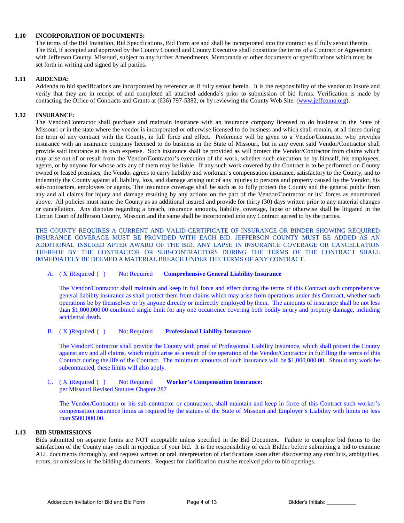#### **1.10 INCORPORATION OF DOCUMENTS:**

The terms of the Bid Invitation, Bid Specifications, Bid Form are and shall be incorporated into the contract as if fully setout therein. The Bid, if accepted and approved by the County Council and County Executive shall constitute the terms of a Contract or Agreement with Jefferson County, Missouri, subject to any further Amendments, Memoranda or other documents or specifications which must be set forth in writing and signed by all parties.

#### **1.11 ADDENDA:**

Addenda to bid specifications are incorporated by reference as if fully setout herein. It is the responsibility of the vendor to insure and verify that they are in receipt of and completed all attached addenda's prior to submission of bid forms. Verification is made by contacting the Office of Contracts and Grants at (636) 797-5382, or by reviewing the County Web Site. [\(www.jeffcomo.org\)](http://www.jeffcomo.org/).

#### **1.12 INSURANCE:**

The Vendor/Contractor shall purchase and maintain insurance with an insurance company licensed to do business in the State of Missouri or in the state where the vendor is incorporated or otherwise licensed to do business and which shall remain, at all times during the term of any contract with the County, in full force and effect. Preference will be given to a Vendor/Contractor who provides insurance with an insurance company licensed to do business in the State of Missouri, but in any event said Vendor/Contractor shall provide said insurance at its own expense. Such insurance shall be provided as will protect the Vendor/Contractor from claims which may arise out of or result from the Vendor/Contractor's execution of the work, whether such execution be by himself, his employees, agents, or by anyone for whose acts any of them may be liable. If any such work covered by the Contract is to be performed on County owned or leased premises, the Vendor agrees to carry liability and workman's compensation insurance, satisfactory to the County, and to indemnify the County against all liability, loss, and damage arising out of any injuries to persons and property caused by the Vendor, his sub-contractors, employees or agents. The insurance coverage shall be such as to fully protect the County and the general public from any and all claims for injury and damage resulting by any actions on the part of the Vendor/Contractor or its' forces as enumerated above. All policies must name the County as an additional insured and provide for thirty (30) days written prior to any material changes or cancellation. Any disputes regarding a breach, insurance amounts, liability, coverage, lapse or otherwise shall be litigated in the Circuit Court of Jefferson County, Missouri and the same shall be incorporated into any Contract agreed to by the parties.

THE COUNTY REQUIRES A CURRENT AND VALID CERTIFICATE OF INSURANCE OR BINDER SHOWING REQUIRED INSURANCE COVERAGE MUST BE PROVIDED WITH EACH BID. JEFFERSON COUNTY MUST BE ADDED AS AN ADDITIONAL INSURED AFTER AWARD OF THE BID. ANY LAPSE IN INSURANCE COVERAGE OR CANCELLATION THEREOF BY THE CONTRACTOR OR SUB-CONTRACTORS DURING THE TERMS OF THE CONTRACT SHALL IMMEDIATELY BE DEEMED A MATERIAL BREACH UNDER THE TERMS OF ANY CONTRACT.

#### A. ( X )Required ( ) Not Required **Comprehensive General Liability Insurance**

The Vendor/Contractor shall maintain and keep in full force and effect during the terms of this Contract such comprehensive general liability insurance as shall protect them from claims which may arise from operations under this Contract, whether such operations be by themselves or by anyone directly or indirectly employed by them. The amounts of insurance shall be not less than \$1,000,000.00 combined single limit for any one occurrence covering both bodily injury and property damage, including accidental death.

#### B. ( X )Required ( ) Not Required **Professional Liability Insurance**

The Vendor/Contractor shall provide the County with proof of Professional Liability Insurance, which shall protect the County against any and all claims, which might arise as a result of the operation of the Vendor/Contractor in fulfilling the terms of this Contract during the life of the Contract. The minimum amounts of such insurance will be \$1,000,000.00. Should any work be subcontracted, these limits will also apply.

C. ( X )Required ( ) Not Required **Worker's Compensation Insurance:**  per Missouri Revised Statutes Chapter 287

The Vendor/Contractor or his sub-contractor or contractors, shall maintain and keep in force of this Contract such worker's compensation insurance limits as required by the statues of the State of Missouri and Employer's Liability with limits no less than \$500,000.00.

#### **1.13 BID SUBMISSIONS**

Bids submitted on separate forms are NOT acceptable unless specified in the Bid Document. Failure to complete bid forms to the satisfaction of the County may result in rejection of your bid. It is the responsibility of each Bidder before submitting a bid to examine ALL documents thoroughly, and request written or oral interpretation of clarifications soon after discovering any conflicts, ambiguities, errors, or omissions in the bidding documents. Request for clarification must be received prior to bid openings.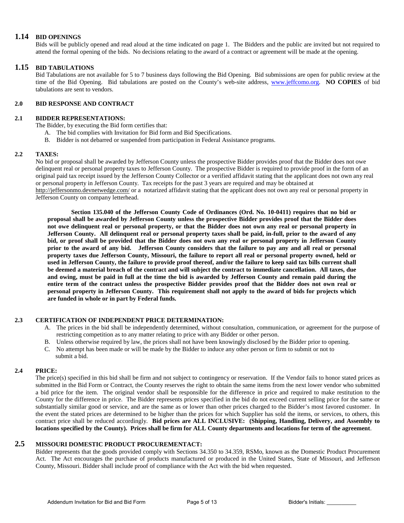#### **1.14 BID OPENINGS**

Bids will be publicly opened and read aloud at the time indicated on page 1. The Bidders and the public are invited but not required to attend the formal opening of the bids. No decisions relating to the award of a contract or agreement will be made at the opening.

#### **1.15 BID TABULATIONS**

Bid Tabulations are not available for 5 to 7 business days following the Bid Opening. Bid submissions are open for public review at the time of the Bid Opening. Bid tabulations are posted on the County's web-site address, [www.jeffcomo.org.](http://www.jeffcomo.org/) **NO COPIES** of bid tabulations are sent to vendors.

#### **2.0 BID RESPONSE AND CONTRACT**

#### **2.1 BIDDER REPRESENTATIONS:**

The Bidder, by executing the Bid form certifies that:

- A. The bid complies with Invitation for Bid form and Bid Specifications.
- B. Bidder is not debarred or suspended from participation in Federal Assistance programs.

#### **2.2 TAXES:**

No bid or proposal shall be awarded by Jefferson County unless the prospective Bidder provides proof that the Bidder does not owe delinquent real or personal property taxes to Jefferson County. The prospective Bidder is required to provide proof in the form of an original paid tax receipt issued by the Jefferson County Collector or a verified affidavit stating that the applicant does not own any real or personal property in Jefferson County. Tax receipts for the past 3 years are required and may be obtained at

<http://jeffersonmo.devnetwedge.com/> or a notarized affidavit stating that the applicant does not own any real or personal property in Jefferson County on company letterhead.

**Section 135.040 of the Jefferson County Code of Ordinances (Ord. No. 10-0411) requires that no bid or proposal shall be awarded by Jefferson County unless the prospective Bidder provides proof that the Bidder does not owe delinquent real or personal property, or that the Bidder does not own any real or personal property in Jefferson County. All delinquent real or personal property taxes shall be paid, in-full, prior to the award of any bid, or proof shall be provided that the Bidder does not own any real or personal property in Jefferson County prior to the award of any bid. Jefferson County considers that the failure to pay any and all real or personal property taxes due Jefferson County, Missouri, the failure to report all real or personal property owned, held or used in Jefferson County, the failure to provide proof thereof, and/or the failure to keep said tax bills current shall be deemed a material breach of the contract and will subject the contract to immediate cancellation. All taxes, due and owing, must be paid in full at the time the bid is awarded by Jefferson County and remain paid during the entire term of the contract unless the prospective Bidder provides proof that the Bidder does not own real or personal property in Jefferson County. This requirement shall not apply to the award of bids for projects which are funded in whole or in part by Federal funds.**

#### **2.3 CERTIFICATION OF INDEPENDENT PRICE DETERMINATION:**

- A. The prices in the bid shall be independently determined, without consultation, communication, or agreement for the purpose of restricting competition as to any matter relating to price with any Bidder or other person.
- B. Unless otherwise required by law, the prices shall not have been knowingly disclosed by the Bidder prior to opening.
- C. No attempt has been made or will be made by the Bidder to induce any other person or firm to submit or not to submit a bid.

#### **2.4 PRICE:**

The price(s) specified in this bid shall be firm and not subject to contingency or reservation. If the Vendor fails to honor stated prices as submitted in the Bid Form or Contract, the County reserves the right to obtain the same items from the next lower vendor who submitted a bid price for the item. The original vendor shall be responsible for the difference in price and required to make restitution to the County for the difference in price. The Bidder represents prices specified in the bid do not exceed current selling price for the same or substantially similar good or service, and are the same as or lower than other prices charged to the Bidder's most favored customer. In the event the stated prices are determined to be higher than the prices for which Supplier has sold the items, or services, to others, this contract price shall be reduced accordingly. **Bid prices are ALL INCLUSIVE: (Shipping, Handling, Delivery, and Assembly to locations specified by the County). Prices shall be firm for ALL County departments and locations for term of the agreement**.

### **2.5 MISSOURI DOMESTIC PRODUCT PROCUREMENTACT:**

Bidder represents that the goods provided comply with Sections 34.350 to 34.359, RSMo, known as the Domestic Product Procurement Act. The Act encourages the purchase of products manufactured or produced in the United States, State of Missouri, and Jefferson County, Missouri. Bidder shall include proof of compliance with the Act with the bid when requested.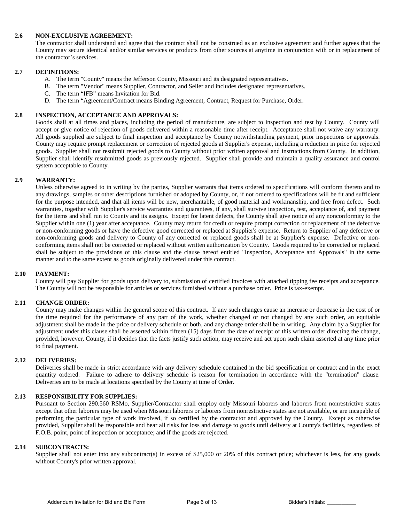#### **2.6 NON-EXCLUSIVE AGREEMENT:**

The contractor shall understand and agree that the contract shall not be construed as an exclusive agreement and further agrees that the County may secure identical and/or similar services or products from other sources at anytime in conjunction with or in replacement of the contractor's services.

#### **2.7 DEFINITIONS:**

- A. The term "County" means the Jefferson County, Missouri and its designated representatives.
- B. The term "Vendor" means Supplier, Contractor, and Seller and includes designated representatives.
- C. The term "IFB" means Invitation for Bid.
- D. The term "Agreement/Contract means Binding Agreement, Contract, Request for Purchase, Order.

#### **2.8 INSPECTION, ACCEPTANCE AND APPROVALS:**

Goods shall at all times and places, including the period of manufacture, are subject to inspection and test by County. County will accept or give notice of rejection of goods delivered within a reasonable time after receipt. Acceptance shall not waive any warranty. All goods supplied are subject to final inspection and acceptance by County notwithstanding payment, prior inspections or approvals. County may require prompt replacement or correction of rejected goods at Supplier's expense, including a reduction in price for rejected goods. Supplier shall not resubmit rejected goods to County without prior written approval and instructions from County. In addition, Supplier shall identify resubmitted goods as previously rejected. Supplier shall provide and maintain a quality assurance and control system acceptable to County.

#### **2.9 WARRANTY:**

Unless otherwise agreed to in writing by the parties, Supplier warrants that items ordered to specifications will conform thereto and to any drawings, samples or other descriptions furnished or adopted by County, or, if not ordered to specifications will be fit and sufficient for the purpose intended, and that all items will be new, merchantable, of good material and workmanship, and free from defect. Such warranties, together with Supplier's service warranties and guarantees, if any, shall survive inspection, test, acceptance of, and payment for the items and shall run to County and its assigns. Except for latent defects, the County shall give notice of any nonconformity to the Supplier within one (1) year after acceptance. County may return for credit or require prompt correction or replacement of the defective or non-conforming goods or have the defective good corrected or replaced at Supplier's expense. Return to Supplier of any defective or non-conforming goods and delivery to County of any corrected or replaced goods shall be at Supplier's expense. Defective or nonconforming items shall not be corrected or replaced without written authorization by County. Goods required to be corrected or replaced shall be subject to the provisions of this clause and the clause hereof entitled "Inspection, Acceptance and Approvals" in the same manner and to the same extent as goods originally delivered under this contract.

#### **2.10 PAYMENT:**

County will pay Supplier for goods upon delivery to, submission of certified invoices with attached tipping fee receipts and acceptance. The County will not be responsible for articles or services furnished without a purchase order. Price is tax-exempt.

#### **2.11 CHANGE ORDER:**

County may make changes within the general scope of this contract. If any such changes cause an increase or decrease in the cost of or the time required for the performance of any part of the work, whether changed or not changed by any such order, an equitable adjustment shall be made in the price or delivery schedule or both, and any change order shall be in writing. Any claim by a Supplier for adjustment under this clause shall be asserted within fifteen (15) days from the date of receipt of this written order directing the change, provided, however, County, if it decides that the facts justify such action, may receive and act upon such claim asserted at any time prior to final payment.

#### **2.12 DELIVERIES:**

Deliveries shall be made in strict accordance with any delivery schedule contained in the bid specification or contract and in the exact quantity ordered. Failure to adhere to delivery schedule is reason for termination in accordance with the "termination" clause. Deliveries are to be made at locations specified by the County at time of Order.

#### **2.13 RESPONSIBILITY FOR SUPPLIES:**

Pursuant to Section 290.560 RSMo, Supplier/Contractor shall employ only Missouri laborers and laborers from nonrestrictive states except that other laborers may be used when Missouri laborers or laborers from nonrestrictive states are not available, or are incapable of performing the particular type of work involved, if so certified by the contractor and approved by the County. Except as otherwise provided, Supplier shall be responsible and bear all risks for loss and damage to goods until delivery at County's facilities, regardless of F.O.B. point, point of inspection or acceptance; and if the goods are rejected.

#### **2.14 SUBCONTRACTS:**

Supplier shall not enter into any subcontract(s) in excess of \$25,000 or 20% of this contract price; whichever is less, for any goods without County's prior written approval.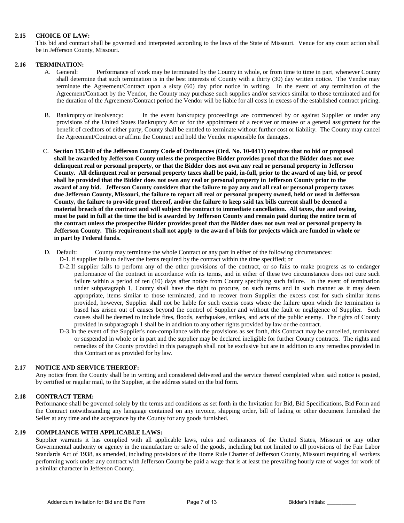#### **2.15 CHOICE OF LAW:**

This bid and contract shall be governed and interpreted according to the laws of the State of Missouri. Venue for any court action shall be in Jefferson County, Missouri.

#### **2.16 TERMINATION:**

- A. General: Performance of work may be terminated by the County in whole, or from time to time in part, whenever County shall determine that such termination is in the best interests of County with a thirty (30) day written notice. The Vendor may terminate the Agreement/Contract upon a sixty (60) day prior notice in writing. In the event of any termination of the Agreement/Contract by the Vendor, the County may purchase such supplies and/or services similar to those terminated and for the duration of the Agreement/Contract period the Vendor will be liable for all costs in excess of the established contract pricing.
- B. Bankruptcy or Insolvency: In the event bankruptcy proceedings are commenced by or against Supplier or under any provisions of the United States Bankruptcy Act or for the appointment of a receiver or trustee or a general assignment for the benefit of creditors of either party, County shall be entitled to terminate without further cost or liability. The County may cancel the Agreement/Contract or affirm the Contract and hold the Vendor responsible for damages.
- C. **Section 135.040 of the Jefferson County Code of Ordinances (Ord. No. 10-0411) requires that no bid or proposal shall be awarded by Jefferson County unless the prospective Bidder provides proof that the Bidder does not owe delinquent real or personal property, or that the Bidder does not own any real or personal property in Jefferson County. All delinquent real or personal property taxes shall be paid, in-full, prior to the award of any bid, or proof shall be provided that the Bidder does not own any real or personal property in Jefferson County prior to the award of any bid. Jefferson County considers that the failure to pay any and all real or personal property taxes due Jefferson County, Missouri, the failure to report all real or personal property owned, held or used in Jefferson County, the failure to provide proof thereof, and/or the failure to keep said tax bills current shall be deemed a material breach of the contract and will subject the contract to immediate cancellation. All taxes, due and owing, must be paid in full at the time the bid is awarded by Jefferson County and remain paid during the entire term of the contract unless the prospective Bidder provides proof that the Bidder does not own real or personal property in Jefferson County. This requirement shall not apply to the award of bids for projects which are funded in whole or in part by Federal funds.**
- D. Default: County may terminate the whole Contract or any part in either of the following circumstances:
	- D-1.If supplier fails to deliver the items required by the contract within the time specified; or
		- D-2.If supplier fails to perform any of the other provisions of the contract, or so fails to make progress as to endanger performance of the contract in accordance with its terms, and in either of these two circumstances does not cure such failure within a period of ten (10) days after notice from County specifying such failure. In the event of termination under subparagraph 1, County shall have the right to procure, on such terms and in such manner as it may deem appropriate, items similar to those terminated, and to recover from Supplier the excess cost for such similar items provided, however, Supplier shall not be liable for such excess costs where the failure upon which the termination is based has arisen out of causes beyond the control of Supplier and without the fault or negligence of Supplier. Such causes shall be deemed to include fires, floods, earthquakes, strikes, and acts of the public enemy. The rights of County provided in subparagraph 1 shall be in addition to any other rights provided by law or the contract.
		- D-3.In the event of the Supplier's non-compliance with the provisions as set forth, this Contract may be cancelled, terminated or suspended in whole or in part and the supplier may be declared ineligible for further County contracts. The rights and remedies of the County provided in this paragraph shall not be exclusive but are in addition to any remedies provided in this Contract or as provided for by law.

#### **2.17 NOTICE AND SERVICE THEREOF:**

Any notice from the County shall be in writing and considered delivered and the service thereof completed when said notice is posted, by certified or regular mail, to the Supplier, at the address stated on the bid form.

#### **2.18 CONTRACT TERM:**

Performance shall be governed solely by the terms and conditions as set forth in the Invitation for Bid, Bid Specifications, Bid Form and the Contract notwithstanding any language contained on any invoice, shipping order, bill of lading or other document furnished the Seller at any time and the acceptance by the County for any goods furnished.

#### **2.19 COMPLIANCE WITH APPLICABLE LAWS:**

Supplier warrants it has complied with all applicable laws, rules and ordinances of the United States, Missouri or any other Governmental authority or agency in the manufacture or sale of the goods, including but not limited to all provisions of the Fair Labor Standards Act of 1938, as amended, including provisions of the Home Rule Charter of Jefferson County, Missouri requiring all workers performing work under any contract with Jefferson County be paid a wage that is at least the prevailing hourly rate of wages for work of a similar character in Jefferson County.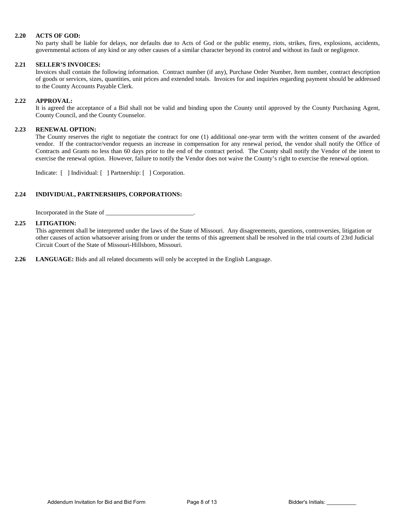#### **2.20 ACTS OF GOD:**

No party shall be liable for delays, nor defaults due to Acts of God or the public enemy, riots, strikes, fires, explosions, accidents, governmental actions of any kind or any other causes of a similar character beyond its control and without its fault or negligence.

#### **2.21 SELLER'S INVOICES:**

Invoices shall contain the following information. Contract number (if any), Purchase Order Number, Item number, contract description of goods or services, sizes, quantities, unit prices and extended totals. Invoices for and inquiries regarding payment should be addressed to the County Accounts Payable Clerk.

#### **2.22 APPROVAL:**

It is agreed the acceptance of a Bid shall not be valid and binding upon the County until approved by the County Purchasing Agent, County Council, and the County Counselor.

#### **2.23 RENEWAL OPTION:**

The County reserves the right to negotiate the contract for one (1) additional one-year term with the written consent of the awarded vendor. If the contractor/vendor requests an increase in compensation for any renewal period, the vendor shall notify the Office of Contracts and Grants no less than 60 days prior to the end of the contract period. The County shall notify the Vendor of the intent to exercise the renewal option. However, failure to notify the Vendor does not waive the County's right to exercise the renewal option.

Indicate: [ ] Individual: [ ] Partnership: [ ] Corporation.

#### **2.24 INDIVIDUAL, PARTNERSHIPS, CORPORATIONS:**

Incorporated in the State of \_\_\_\_\_\_\_\_\_\_\_\_\_\_\_\_\_\_\_\_\_\_\_\_\_\_\_\_.

#### **2.25 LITIGATION:**

This agreement shall be interpreted under the laws of the State of Missouri. Any disagreements, questions, controversies, litigation or other causes of action whatsoever arising from or under the terms of this agreement shall be resolved in the trial courts of 23rd Judicial Circuit Court of the State of Missouri-Hillsboro, Missouri.

**2.26 LANGUAGE:** Bids and all related documents will only be accepted in the English Language.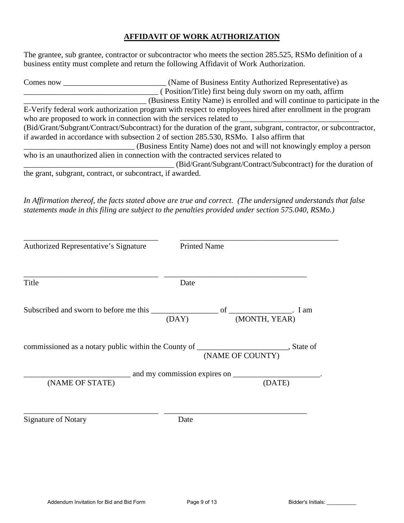### **AFFIDAVIT OF WORK AUTHORIZATION**

The grantee, sub grantee, contractor or subcontractor who meets the section 285.525, RSMo definition of a business entity must complete and return the following Affidavit of Work Authorization.

| Comes now                                                  | (Name of Business Entity Authorized Representative) as                                                           |
|------------------------------------------------------------|------------------------------------------------------------------------------------------------------------------|
|                                                            | (Position/Title) first being duly sworn on my oath, affirm                                                       |
|                                                            | (Business Entity Name) is enrolled and will continue to participate in the                                       |
|                                                            | E-Verify federal work authorization program with respect to employees hired after enrollment in the program      |
|                                                            | who are proposed to work in connection with the services related to                                              |
|                                                            | (Bid/Grant/Subgrant/Contract/Subcontract) for the duration of the grant, subgrant, contractor, or subcontractor, |
|                                                            | if awarded in accordance with subsection 2 of section 285.530, RSMo. I also affirm that                          |
|                                                            | (Business Entity Name) does not and will not knowingly employ a person                                           |
|                                                            | who is an unauthorized alien in connection with the contracted services related to                               |
|                                                            | (Bid/Grant/Subgrant/Contract/Subcontract) for the duration of                                                    |
| the grant, subgrant, contract, or subcontract, if awarded. |                                                                                                                  |

*In Affirmation thereof, the facts stated above are true and correct. (The undersigned understands that false statements made in this filing are subject to the penalties provided under section 575.040, RSMo.)* 

| Authorized Representative's Signature                                                  | <b>Printed Name</b> |                  |
|----------------------------------------------------------------------------------------|---------------------|------------------|
| Title                                                                                  | Date                |                  |
|                                                                                        | (DAY)               | (MONTH, YEAR)    |
| commissioned as a notary public within the County of _______________________, State of |                     | (NAME OF COUNTY) |
| (NAME OF STATE)                                                                        |                     | (DATE)           |
| <b>Signature of Notary</b>                                                             | Date                |                  |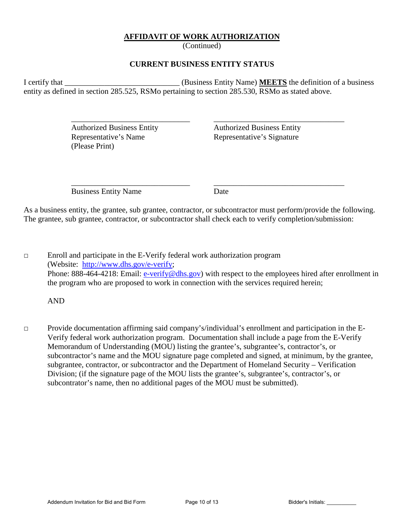### **AFFIDAVIT OF WORK AUTHORIZATION**

(Continued)

### **CURRENT BUSINESS ENTITY STATUS**

I certify that \_\_\_\_\_\_\_\_\_\_\_\_\_\_\_\_\_\_\_\_\_\_\_\_\_\_\_\_\_ (Business Entity Name) **MEETS** the definition of a business entity as defined in section 285.525, RSMo pertaining to section 285.530, RSMo as stated above.

 $\overline{\phantom{a}}$  ,  $\overline{\phantom{a}}$  ,  $\overline{\phantom{a}}$  ,  $\overline{\phantom{a}}$  ,  $\overline{\phantom{a}}$  ,  $\overline{\phantom{a}}$  ,  $\overline{\phantom{a}}$  ,  $\overline{\phantom{a}}$  ,  $\overline{\phantom{a}}$  ,  $\overline{\phantom{a}}$  ,  $\overline{\phantom{a}}$  ,  $\overline{\phantom{a}}$  ,  $\overline{\phantom{a}}$  ,  $\overline{\phantom{a}}$  ,  $\overline{\phantom{a}}$  ,  $\overline{\phantom{a}}$ 

 Authorized Business Entity Authorized Business Entity Representative's Name Representative's Signature (Please Print)

Business Entity Name Date

 $\overline{\phantom{a}}$  ,  $\overline{\phantom{a}}$  ,  $\overline{\phantom{a}}$  ,  $\overline{\phantom{a}}$  ,  $\overline{\phantom{a}}$  ,  $\overline{\phantom{a}}$  ,  $\overline{\phantom{a}}$  ,  $\overline{\phantom{a}}$  ,  $\overline{\phantom{a}}$  ,  $\overline{\phantom{a}}$  ,  $\overline{\phantom{a}}$  ,  $\overline{\phantom{a}}$  ,  $\overline{\phantom{a}}$  ,  $\overline{\phantom{a}}$  ,  $\overline{\phantom{a}}$  ,  $\overline{\phantom{a}}$ 

As a business entity, the grantee, sub grantee, contractor, or subcontractor must perform/provide the following. The grantee, sub grantee, contractor, or subcontractor shall check each to verify completion/submission:

□ Enroll and participate in the E-Verify federal work authorization program (Website: [http://www.dhs.gov/e-verify;](http://www.dhs.gov/e-verify) Phone: 888-464-4218: Email: [e-verify@dhs.gov\)](mailto:e-verify@dhs.gov) with respect to the employees hired after enrollment in the program who are proposed to work in connection with the services required herein;

AND

□ Provide documentation affirming said company's/individual's enrollment and participation in the E-Verify federal work authorization program. Documentation shall include a page from the E-Verify Memorandum of Understanding (MOU) listing the grantee's, subgrantee's, contractor's, or subcontractor's name and the MOU signature page completed and signed, at minimum, by the grantee, subgrantee, contractor, or subcontractor and the Department of Homeland Security – Verification Division; (if the signature page of the MOU lists the grantee's, subgrantee's, contractor's, or subcontrator's name, then no additional pages of the MOU must be submitted).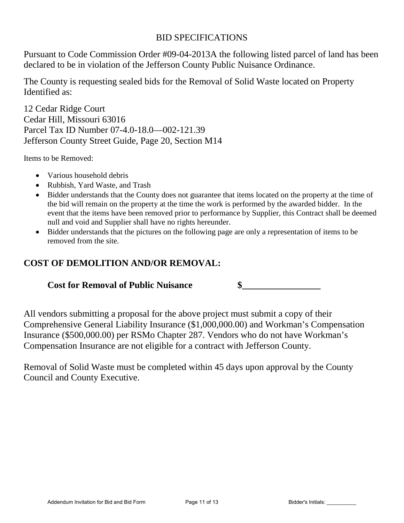## BID SPECIFICATIONS

Pursuant to Code Commission Order #09-04-2013A the following listed parcel of land has been declared to be in violation of the Jefferson County Public Nuisance Ordinance.

The County is requesting sealed bids for the Removal of Solid Waste located on Property Identified as:

12 Cedar Ridge Court Cedar Hill, Missouri 63016 Parcel Tax ID Number 07-4.0-18.0—002-121.39 Jefferson County Street Guide, Page 20, Section M14

Items to be Removed:

- Various household debris
- Rubbish, Yard Waste, and Trash
- Bidder understands that the County does not guarantee that items located on the property at the time of the bid will remain on the property at the time the work is performed by the awarded bidder. In the event that the items have been removed prior to performance by Supplier, this Contract shall be deemed null and void and Supplier shall have no rights hereunder.
- Bidder understands that the pictures on the following page are only a representation of items to be removed from the site.

# **COST OF DEMOLITION AND/OR REMOVAL:**

## **Cost for Removal of Public Nuisance \$\_\_\_\_\_\_\_\_\_\_\_\_\_\_\_\_\_**

All vendors submitting a proposal for the above project must submit a copy of their Comprehensive General Liability Insurance (\$1,000,000.00) and Workman's Compensation Insurance (\$500,000.00) per RSMo Chapter 287. Vendors who do not have Workman's Compensation Insurance are not eligible for a contract with Jefferson County.

Removal of Solid Waste must be completed within 45 days upon approval by the County Council and County Executive.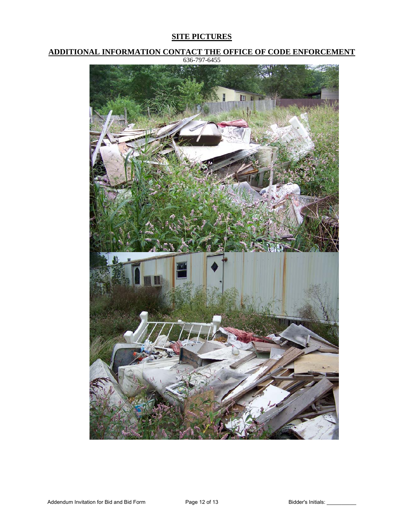### **SITE PICTURES**

**ADDITIONAL INFORMATION CONTACT THE OFFICE OF CODE ENFORCEMENT**